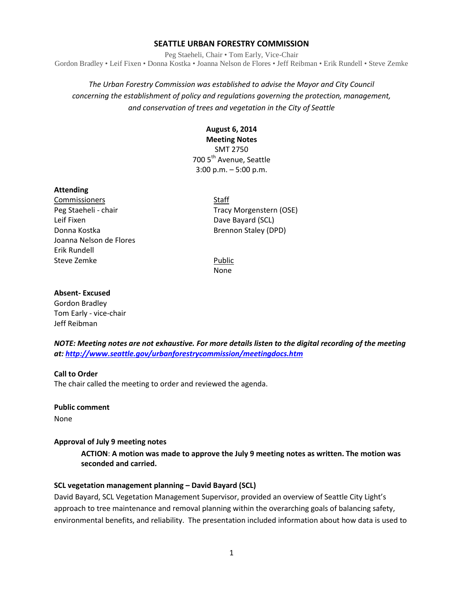## **SEATTLE URBAN FORESTRY COMMISSION**

Peg Staeheli, Chair • Tom Early, Vice-Chair Gordon Bradley • Leif Fixen • Donna Kostka • Joanna Nelson de Flores • Jeff Reibman • Erik Rundell • Steve Zemke

# *The Urban Forestry Commission was established to advise the Mayor and City Council concerning the establishment of policy and regulations governing the protection, management, and conservation of trees and vegetation in the City of Seattle*

### **August 6, 2014 Meeting Notes**

SMT 2750 700 5<sup>th</sup> Avenue, Seattle 3:00 p.m. – 5:00 p.m.

### **Attending**

**Commissioners** Staff Leif Fixen **Dave Bayard (SCL)** Donna Kostka Brennon Staley (DPD) Joanna Nelson de Flores Erik Rundell Steve Zemke **Public** 

Peg Staeheli - chair Tracy Morgenstern (OSE)

None

### **Absent- Excused**

Gordon Bradley Tom Early - vice-chair Jeff Reibman

*NOTE: Meeting notes are not exhaustive. For more details listen to the digital recording of the meeting at:<http://www.seattle.gov/urbanforestrycommission/meetingdocs.htm>*

### **Call to Order**

The chair called the meeting to order and reviewed the agenda.

**Public comment** None

### **Approval of July 9 meeting notes**

**ACTION**: **A motion was made to approve the July 9 meeting notes as written. The motion was seconded and carried.** 

### **SCL vegetation management planning – David Bayard (SCL)**

David Bayard, SCL Vegetation Management Supervisor, provided an overview of Seattle City Light's approach to tree maintenance and removal planning within the overarching goals of balancing safety, environmental benefits, and reliability. The presentation included information about how data is used to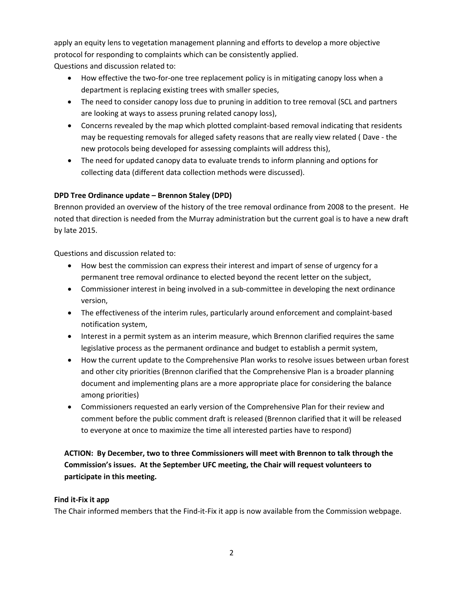apply an equity lens to vegetation management planning and efforts to develop a more objective protocol for responding to complaints which can be consistently applied. Questions and discussion related to:

- How effective the two-for-one tree replacement policy is in mitigating canopy loss when a department is replacing existing trees with smaller species,
- The need to consider canopy loss due to pruning in addition to tree removal (SCL and partners are looking at ways to assess pruning related canopy loss),
- Concerns revealed by the map which plotted complaint-based removal indicating that residents may be requesting removals for alleged safety reasons that are really view related ( Dave - the new protocols being developed for assessing complaints will address this),
- The need for updated canopy data to evaluate trends to inform planning and options for collecting data (different data collection methods were discussed).

## **DPD Tree Ordinance update – Brennon Staley (DPD)**

Brennon provided an overview of the history of the tree removal ordinance from 2008 to the present. He noted that direction is needed from the Murray administration but the current goal is to have a new draft by late 2015.

Questions and discussion related to:

- How best the commission can express their interest and impart of sense of urgency for a permanent tree removal ordinance to elected beyond the recent letter on the subject,
- Commissioner interest in being involved in a sub-committee in developing the next ordinance version,
- The effectiveness of the interim rules, particularly around enforcement and complaint-based notification system,
- Interest in a permit system as an interim measure, which Brennon clarified requires the same legislative process as the permanent ordinance and budget to establish a permit system,
- How the current update to the Comprehensive Plan works to resolve issues between urban forest and other city priorities (Brennon clarified that the Comprehensive Plan is a broader planning document and implementing plans are a more appropriate place for considering the balance among priorities)
- Commissioners requested an early version of the Comprehensive Plan for their review and comment before the public comment draft is released (Brennon clarified that it will be released to everyone at once to maximize the time all interested parties have to respond)

**ACTION: By December, two to three Commissioners will meet with Brennon to talk through the Commission's issues. At the September UFC meeting, the Chair will request volunteers to participate in this meeting.**

## **Find it-Fix it app**

The Chair informed members that the Find-it-Fix it app is now available from the Commission webpage.